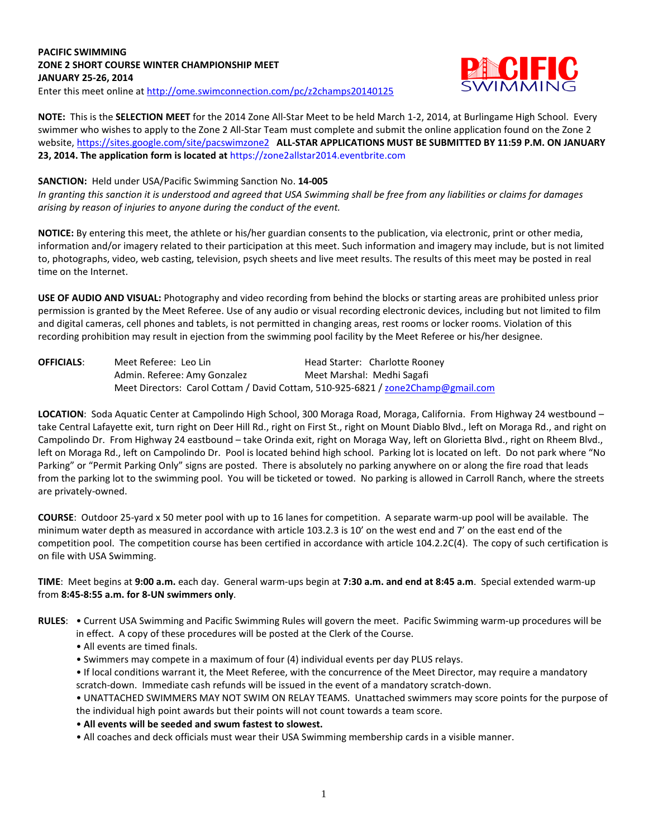# **PACIFIC SWIMMING ZONE 2 SHORT COURSE WINTER CHAMPIONSHIP MEET JANUARY 25-26, 2014**



Enter this meet online at<http://ome.swimconnection.com/pc/z2champs20140125>

**NOTE:** This is the **SELECTION MEET** for the 2014 Zone All-Star Meet to be held March 1-2, 2014, at Burlingame High School. Every swimmer who wishes to apply to the Zone 2 All-Star Team must complete and submit the online application found on the Zone 2 website[, https://sites.google.com/site/pacswimzone2](https://sites.google.com/site/pacswimzone2) **ALL-STAR APPLICATIONS MUST BE SUBMITTED BY 11:59 P.M. ON JANUARY 23, 2014. The application form is located at** https://zone2allstar2014.eventbrite.com

# **SANCTION:** Held under USA/Pacific Swimming Sanction No. **14-005**

*In granting this sanction it is understood and agreed that USA Swimming shall be free from any liabilities or claims for damages arising by reason of injuries to anyone during the conduct of the event.*

**NOTICE:** By entering this meet, the athlete or his/her guardian consents to the publication, via electronic, print or other media, information and/or imagery related to their participation at this meet. Such information and imagery may include, but is not limited to, photographs, video, web casting, television, psych sheets and live meet results. The results of this meet may be posted in real time on the Internet.

**USE OF AUDIO AND VISUAL:** Photography and video recording from behind the blocks or starting areas are prohibited unless prior permission is granted by the Meet Referee. Use of any audio or visual recording electronic devices, including but not limited to film and digital cameras, cell phones and tablets, is not permitted in changing areas, rest rooms or locker rooms. Violation of this recording prohibition may result in ejection from the swimming pool facility by the Meet Referee or his/her designee.

| <b>OFFICIALS:</b> | Meet Referee: Leo Lin        | Head Starter: Charlotte Rooney                                                   |
|-------------------|------------------------------|----------------------------------------------------------------------------------|
|                   | Admin. Referee: Amy Gonzalez | Meet Marshal: Medhi Sagafi                                                       |
|                   |                              | Meet Directors: Carol Cottam / David Cottam, 510-925-6821 / zone2Champ@gmail.com |

**LOCATION**: Soda Aquatic Center at Campolindo High School, 300 Moraga Road, Moraga, California. From Highway 24 westbound – take Central Lafayette exit, turn right on Deer Hill Rd., right on First St., right on Mount Diablo Blvd., left on Moraga Rd., and right on Campolindo Dr. From Highway 24 eastbound – take Orinda exit, right on Moraga Way, left on Glorietta Blvd., right on Rheem Blvd., left on Moraga Rd., left on Campolindo Dr. Pool is located behind high school. Parking lot is located on left. Do not park where "No Parking" or "Permit Parking Only" signs are posted. There is absolutely no parking anywhere on or along the fire road that leads from the parking lot to the swimming pool. You will be ticketed or towed. No parking is allowed in Carroll Ranch, where the streets are privately-owned.

**COURSE**: Outdoor 25-yard x 50 meter pool with up to 16 lanes for competition. A separate warm-up pool will be available. The minimum water depth as measured in accordance with article 103.2.3 is 10' on the west end and 7' on the east end of the competition pool. The competition course has been certified in accordance with article 104.2.2C(4). The copy of such certification is on file with USA Swimming.

**TIME**: Meet begins at **9:00 a.m.** each day. General warm-ups begin at **7:30 a.m. and end at 8:45 a.m**. Special extended warm-up from **8:45-8:55 a.m. for 8-UN swimmers only**.

**RULES**: • Current USA Swimming and Pacific Swimming Rules will govern the meet. Pacific Swimming warm-up procedures will be in effect. A copy of these procedures will be posted at the Clerk of the Course.

- All events are timed finals.
- Swimmers may compete in a maximum of four (4) individual events per day PLUS relays.
- If local conditions warrant it, the Meet Referee, with the concurrence of the Meet Director, may require a mandatory scratch-down. Immediate cash refunds will be issued in the event of a mandatory scratch-down.

• UNATTACHED SWIMMERS MAY NOT SWIM ON RELAY TEAMS. Unattached swimmers may score points for the purpose of the individual high point awards but their points will not count towards a team score.

- **All events will be seeded and swum fastest to slowest.**
- All coaches and deck officials must wear their USA Swimming membership cards in a visible manner.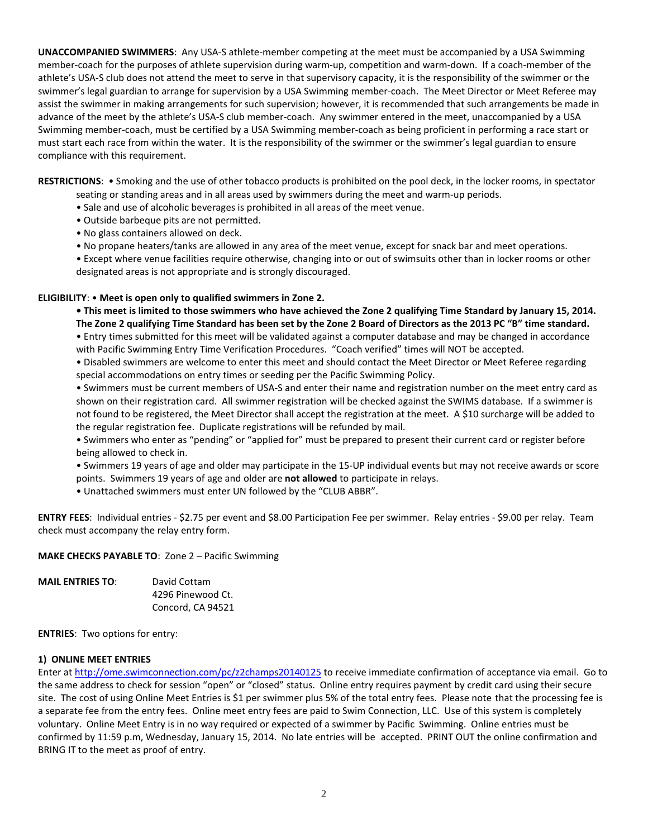**UNACCOMPANIED SWIMMERS**: Any USA-S athlete-member competing at the meet must be accompanied by a USA Swimming member-coach for the purposes of athlete supervision during warm-up, competition and warm-down. If a coach-member of the athlete's USA-S club does not attend the meet to serve in that supervisory capacity, it is the responsibility of the swimmer or the swimmer's legal guardian to arrange for supervision by a USA Swimming member-coach. The Meet Director or Meet Referee may assist the swimmer in making arrangements for such supervision; however, it is recommended that such arrangements be made in advance of the meet by the athlete's USA-S club member-coach. Any swimmer entered in the meet, unaccompanied by a USA Swimming member-coach, must be certified by a USA Swimming member-coach as being proficient in performing a race start or must start each race from within the water. It is the responsibility of the swimmer or the swimmer's legal guardian to ensure compliance with this requirement.

**RESTRICTIONS**: • Smoking and the use of other tobacco products is prohibited on the pool deck, in the locker rooms, in spectator seating or standing areas and in all areas used by swimmers during the meet and warm-up periods.

- Sale and use of alcoholic beverages is prohibited in all areas of the meet venue.
- Outside barbeque pits are not permitted.
- No glass containers allowed on deck.
- No propane heaters/tanks are allowed in any area of the meet venue, except for snack bar and meet operations.

• Except where venue facilities require otherwise, changing into or out of swimsuits other than in locker rooms or other designated areas is not appropriate and is strongly discouraged.

#### **ELIGIBILITY**: • **Meet is open only to qualified swimmers in Zone 2.**

**• This meet is limited to those swimmers who have achieved the Zone 2 qualifying Time Standard by January 15, 2014. The Zone 2 qualifying Time Standard has been set by the Zone 2 Board of Directors as the 2013 PC "B" time standard.**

• Entry times submitted for this meet will be validated against a computer database and may be changed in accordance with Pacific Swimming Entry Time Verification Procedures. "Coach verified" times will NOT be accepted.

• Disabled swimmers are welcome to enter this meet and should contact the Meet Director or Meet Referee regarding special accommodations on entry times or seeding per the Pacific Swimming Policy.

• Swimmers must be current members of USA-S and enter their name and registration number on the meet entry card as shown on their registration card. All swimmer registration will be checked against the SWIMS database. If a swimmer is not found to be registered, the Meet Director shall accept the registration at the meet. A \$10 surcharge will be added to the regular registration fee. Duplicate registrations will be refunded by mail.

• Swimmers who enter as "pending" or "applied for" must be prepared to present their current card or register before being allowed to check in.

• Swimmers 19 years of age and older may participate in the 15-UP individual events but may not receive awards or score points. Swimmers 19 years of age and older are **not allowed** to participate in relays.

• Unattached swimmers must enter UN followed by the "CLUB ABBR".

**ENTRY FEES**: Individual entries - \$2.75 per event and \$8.00 Participation Fee per swimmer. Relay entries - \$9.00 per relay. Team check must accompany the relay entry form.

#### **MAKE CHECKS PAYABLE TO**: Zone 2 – Pacific Swimming

| <b>MAIL ENTRIES TO:</b> | David Cottam      |
|-------------------------|-------------------|
|                         | 4296 Pinewood Ct. |
|                         | Concord, CA 94521 |

**ENTRIES**: Two options for entry:

#### **1) ONLINE MEET ENTRIES**

Enter a[t http://ome.swimconnection.com/pc/z2champs20140125](http://ome.swimconnection.com/pc/z2champs20140125) to receive immediate confirmation of acceptance via email. Go to the same address to check for session "open" or "closed" status. Online entry requires payment by credit card using their secure site. The cost of using Online Meet Entries is \$1 per swimmer plus 5% of the total entry fees. Please note that the processing fee is a separate fee from the entry fees. Online meet entry fees are paid to Swim Connection, LLC. Use of this system is completely voluntary. Online Meet Entry is in no way required or expected of a swimmer by Pacific Swimming. Online entries must be confirmed by 11:59 p.m, Wednesday, January 15, 2014. No late entries will be accepted. PRINT OUT the online confirmation and BRING IT to the meet as proof of entry.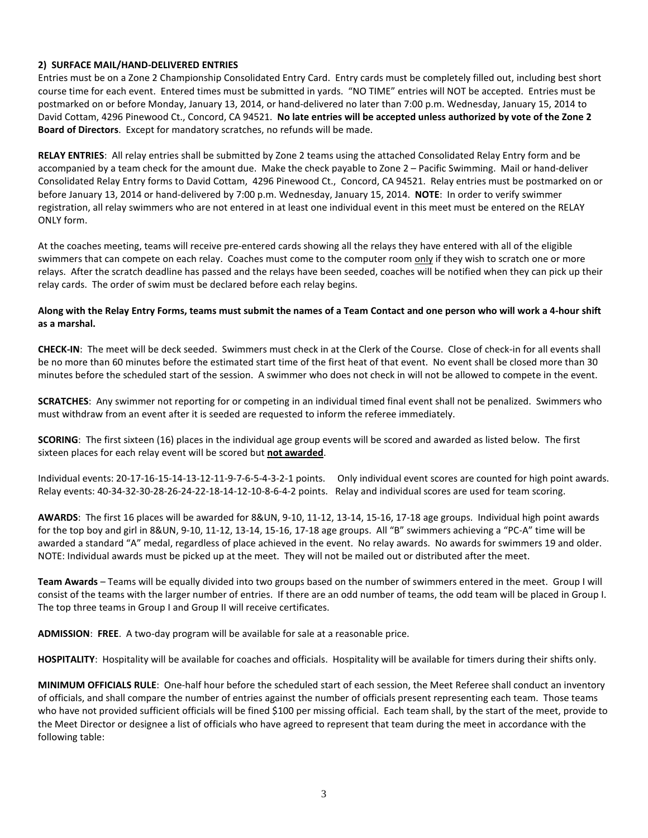# **2) SURFACE MAIL/HAND-DELIVERED ENTRIES**

Entries must be on a Zone 2 Championship Consolidated Entry Card. Entry cards must be completely filled out, including best short course time for each event. Entered times must be submitted in yards. "NO TIME" entries will NOT be accepted. Entries must be postmarked on or before Monday, January 13, 2014, or hand-delivered no later than 7:00 p.m. Wednesday, January 15, 2014 to David Cottam, 4296 Pinewood Ct., Concord, CA 94521. **No late entries will be accepted unless authorized by vote of the Zone 2 Board of Directors**. Except for mandatory scratches, no refunds will be made.

**RELAY ENTRIES**: All relay entries shall be submitted by Zone 2 teams using the attached Consolidated Relay Entry form and be accompanied by a team check for the amount due. Make the check payable to Zone 2 – Pacific Swimming. Mail or hand-deliver Consolidated Relay Entry forms to David Cottam, 4296 Pinewood Ct., Concord, CA 94521. Relay entries must be postmarked on or before January 13, 2014 or hand-delivered by 7:00 p.m. Wednesday, January 15, 2014. **NOTE**: In order to verify swimmer registration, all relay swimmers who are not entered in at least one individual event in this meet must be entered on the RELAY ONLY form.

At the coaches meeting, teams will receive pre-entered cards showing all the relays they have entered with all of the eligible swimmers that can compete on each relay. Coaches must come to the computer room only if they wish to scratch one or more relays. After the scratch deadline has passed and the relays have been seeded, coaches will be notified when they can pick up their relay cards. The order of swim must be declared before each relay begins.

# **Along with the Relay Entry Forms, teams must submit the names of a Team Contact and one person who will work a 4-hour shift as a marshal.**

**CHECK-IN**: The meet will be deck seeded. Swimmers must check in at the Clerk of the Course. Close of check-in for all events shall be no more than 60 minutes before the estimated start time of the first heat of that event. No event shall be closed more than 30 minutes before the scheduled start of the session. A swimmer who does not check in will not be allowed to compete in the event.

**SCRATCHES**: Any swimmer not reporting for or competing in an individual timed final event shall not be penalized. Swimmers who must withdraw from an event after it is seeded are requested to inform the referee immediately.

**SCORING**: The first sixteen (16) places in the individual age group events will be scored and awarded as listed below. The first sixteen places for each relay event will be scored but **not awarded**.

Individual events: 20-17-16-15-14-13-12-11-9-7-6-5-4-3-2-1 points. Only individual event scores are counted for high point awards. Relay events: 40-34-32-30-28-26-24-22-18-14-12-10-8-6-4-2 points. Relay and individual scores are used for team scoring.

**AWARDS**: The first 16 places will be awarded for 8&UN, 9-10, 11-12, 13-14, 15-16, 17-18 age groups. Individual high point awards for the top boy and girl in 8&UN, 9-10, 11-12, 13-14, 15-16, 17-18 age groups. All "B" swimmers achieving a "PC-A" time will be awarded a standard "A" medal, regardless of place achieved in the event. No relay awards. No awards for swimmers 19 and older. NOTE: Individual awards must be picked up at the meet. They will not be mailed out or distributed after the meet.

**Team Awards** – Teams will be equally divided into two groups based on the number of swimmers entered in the meet. Group I will consist of the teams with the larger number of entries. If there are an odd number of teams, the odd team will be placed in Group I. The top three teams in Group I and Group II will receive certificates.

**ADMISSION**: **FREE**. A two-day program will be available for sale at a reasonable price.

**HOSPITALITY**: Hospitality will be available for coaches and officials. Hospitality will be available for timers during their shifts only.

**MINIMUM OFFICIALS RULE**: One-half hour before the scheduled start of each session, the Meet Referee shall conduct an inventory of officials, and shall compare the number of entries against the number of officials present representing each team. Those teams who have not provided sufficient officials will be fined \$100 per missing official. Each team shall, by the start of the meet, provide to the Meet Director or designee a list of officials who have agreed to represent that team during the meet in accordance with the following table: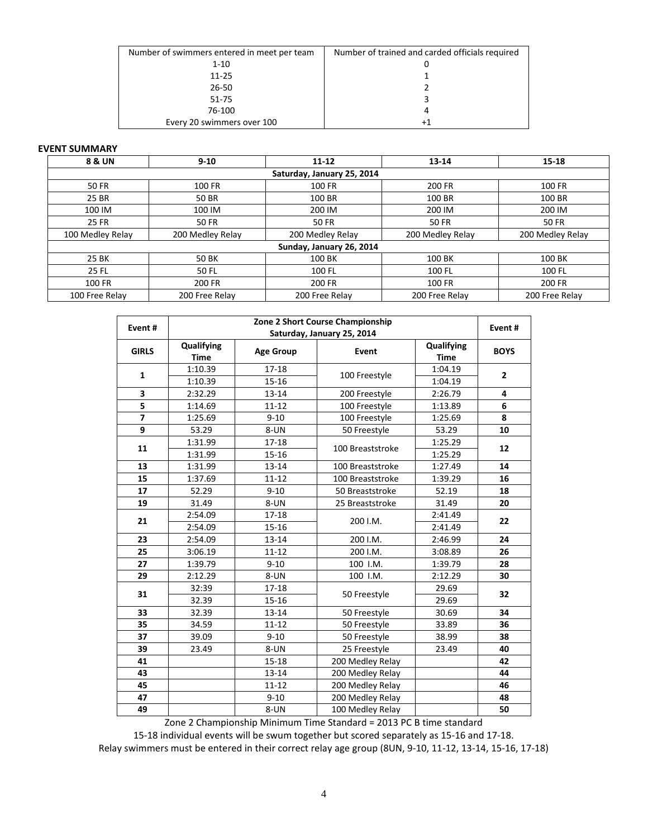| Number of swimmers entered in meet per team | Number of trained and carded officials required |
|---------------------------------------------|-------------------------------------------------|
| $1 - 10$                                    |                                                 |
| $11 - 25$                                   |                                                 |
| 26-50                                       |                                                 |
| $51 - 75$                                   |                                                 |
| 76-100                                      | 4                                               |
| Every 20 swimmers over 100                  | $+1$                                            |

### **EVENT SUMMARY**

| 8 & UN           | $9 - 10$                   | $11 - 12$                | 13-14            | $15 - 18$        |  |  |  |  |  |  |  |
|------------------|----------------------------|--------------------------|------------------|------------------|--|--|--|--|--|--|--|
|                  | Saturday, January 25, 2014 |                          |                  |                  |  |  |  |  |  |  |  |
| 50 FR            | 100 FR                     | 100 FR                   | 200 FR           | 100 FR           |  |  |  |  |  |  |  |
| 25 BR            | 50 BR                      | 100 BR                   | 100 BR           | 100 BR           |  |  |  |  |  |  |  |
| 100 IM           | 100 IM                     | 200 IM                   | 200 IM           | 200 IM           |  |  |  |  |  |  |  |
| <b>25 FR</b>     | 50 FR                      | <b>50 FR</b>             | <b>50 FR</b>     | 50 FR            |  |  |  |  |  |  |  |
| 100 Medley Relay | 200 Medley Relay           | 200 Medley Relay         | 200 Medley Relay | 200 Medley Relay |  |  |  |  |  |  |  |
|                  |                            | Sunday, January 26, 2014 |                  |                  |  |  |  |  |  |  |  |
| 25 BK            | <b>50 BK</b>               | 100 BK                   | 100 BK           | 100 BK           |  |  |  |  |  |  |  |
| 25 FL            | 50 FL                      | 100 FL                   | 100 FL           | 100 FL           |  |  |  |  |  |  |  |
| 100 FR           | 200 FR                     | 200 FR                   | 100 FR           | 200 FR           |  |  |  |  |  |  |  |
| 100 Free Relay   | 200 Free Relay             | 200 Free Relay           | 200 Free Relay   | 200 Free Relay   |  |  |  |  |  |  |  |

| Zone 2 Short Course Championship<br>Event# |                           |                  |                            |                           |              |  |  |
|--------------------------------------------|---------------------------|------------------|----------------------------|---------------------------|--------------|--|--|
|                                            |                           |                  | Saturday, January 25, 2014 |                           | Event#       |  |  |
| <b>GIRLS</b>                               | Qualifying<br><b>Time</b> | <b>Age Group</b> | Event                      | Qualifying<br><b>Time</b> | <b>BOYS</b>  |  |  |
| $\mathbf{1}$                               | 1:10.39                   | 17-18            |                            | 1:04.19                   | $\mathbf{2}$ |  |  |
|                                            | 1:10.39                   | 15-16            | 100 Freestyle              | 1:04.19                   |              |  |  |
| 3                                          | 2:32.29                   | $13 - 14$        | 200 Freestyle              | 2:26.79                   | 4            |  |  |
| 5                                          | 1:14.69                   | $11 - 12$        | 100 Freestyle              | 1:13.89                   | $\bf 6$      |  |  |
| $\overline{7}$                             | 1:25.69                   | $9 - 10$         | 100 Freestyle              | 1:25.69                   | 8            |  |  |
| 9                                          | 53.29                     | 8-UN             | 50 Freestyle               | 53.29                     | 10           |  |  |
| 11                                         | 1:31.99                   | $17 - 18$        | 100 Breaststroke           | 1:25.29                   | 12           |  |  |
|                                            | 1:31.99                   | $15 - 16$        |                            | 1:25.29                   |              |  |  |
| 13                                         | 1:31.99                   | 13-14            | 100 Breaststroke           | 1:27.49                   | 14           |  |  |
| 15                                         | 1:37.69                   | $11 - 12$        | 100 Breaststroke           | 1:39.29                   | 16           |  |  |
| 17                                         | 52.29                     | $9 - 10$         | 50 Breaststroke            | 52.19                     | 18           |  |  |
| 19                                         | 31.49                     | 8-UN             | 25 Breaststroke            | 31.49                     | 20           |  |  |
| 21                                         | 2:54.09                   | 17-18            | 200 I.M.                   | 2:41.49                   | 22           |  |  |
|                                            | 2:54.09                   | 15-16            |                            | 2:41.49                   |              |  |  |
| 23                                         | 2:54.09                   | 13-14            | 200 I.M.                   | 2:46.99                   | 24           |  |  |
| 25                                         | 3:06.19                   | $11 - 12$        | 200 I.M.                   | 3:08.89                   | 26           |  |  |
| 27                                         | 1:39.79                   | $9 - 10$         | 100 I.M.                   | 1:39.79                   | 28           |  |  |
| 29                                         | 2:12.29                   | 8-UN             | 100 I.M.                   | 2:12.29                   | 30           |  |  |
| 31                                         | 32:39                     | 17-18            | 50 Freestyle               | 29.69                     | 32           |  |  |
|                                            | 32.39                     | $15 - 16$        |                            | 29.69                     |              |  |  |
| 33                                         | 32.39                     | 13-14            | 50 Freestyle               | 30.69                     | 34           |  |  |
| 35                                         | 34.59                     | $11 - 12$        | 50 Freestyle               | 33.89                     | 36           |  |  |
| 37                                         | 39.09                     | $9 - 10$         | 50 Freestyle               | 38.99                     | 38           |  |  |
| 39                                         | 23.49                     | 8-UN             | 25 Freestyle               | 23.49                     | 40           |  |  |
| 41                                         |                           | $15 - 18$        | 200 Medley Relay           |                           | 42           |  |  |
| 43                                         |                           | $13 - 14$        | 200 Medley Relay           |                           | 44           |  |  |
| 45                                         |                           | $11 - 12$        | 200 Medley Relay           |                           | 46           |  |  |
| 47                                         |                           | $9 - 10$         | 200 Medley Relay           |                           | 48           |  |  |
| 49                                         |                           | 8-UN             | 100 Medley Relay           |                           | 50           |  |  |

Zone 2 Championship Minimum Time Standard = 2013 PC B time standard

15-18 individual events will be swum together but scored separately as 15-16 and 17-18. Relay swimmers must be entered in their correct relay age group (8UN, 9-10, 11-12, 13-14, 15-16, 17-18)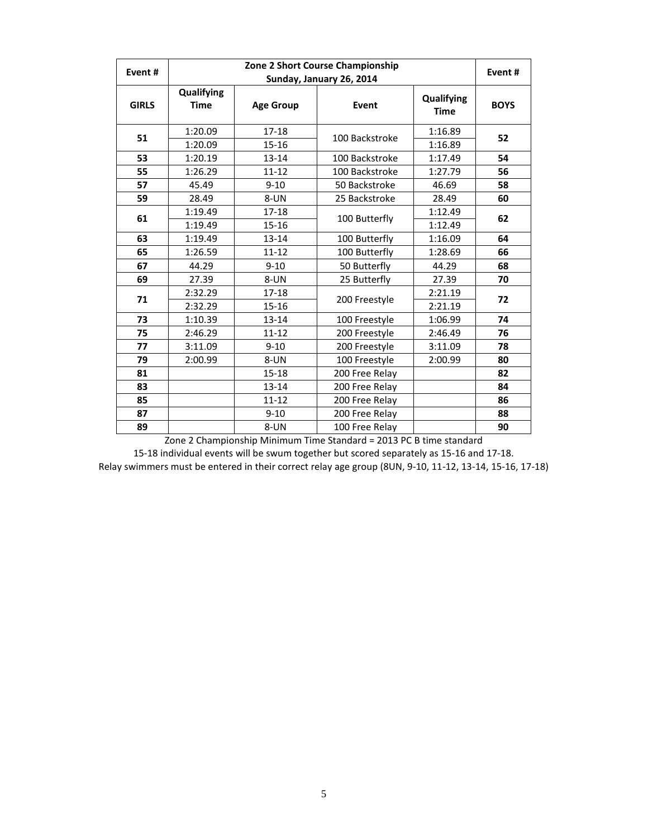| Event#       | Zone 2 Short Course Championship |                  |                          |                           |             |  |  |  |
|--------------|----------------------------------|------------------|--------------------------|---------------------------|-------------|--|--|--|
|              |                                  |                  | Sunday, January 26, 2014 |                           | Event#      |  |  |  |
| <b>GIRLS</b> | Qualifying<br><b>Time</b>        | <b>Age Group</b> | Event                    | Qualifying<br><b>Time</b> | <b>BOYS</b> |  |  |  |
| 51           | 1:20.09                          | $17 - 18$        | 100 Backstroke           | 1:16.89                   | 52          |  |  |  |
|              | 1:20.09                          | $15 - 16$        |                          | 1:16.89                   |             |  |  |  |
| 53           | 1:20.19                          | $13 - 14$        | 100 Backstroke           | 1:17.49                   | 54          |  |  |  |
| 55           | 1:26.29                          | $11 - 12$        | 100 Backstroke           | 1:27.79                   | 56          |  |  |  |
| 57           | 45.49                            | $9 - 10$         | 50 Backstroke            | 46.69                     | 58          |  |  |  |
| 59           | 28.49                            | 8-UN             | 25 Backstroke            | 28.49                     | 60          |  |  |  |
| 61           | 1:19.49                          | $17 - 18$        |                          | 1:12.49                   | 62          |  |  |  |
|              | 1:19.49                          | 15-16            | 100 Butterfly            | 1:12.49                   |             |  |  |  |
| 63           | 1:19.49                          | $13 - 14$        | 100 Butterfly            | 1:16.09                   | 64          |  |  |  |
| 65           | 1:26.59                          | $11 - 12$        | 100 Butterfly            | 1:28.69                   | 66          |  |  |  |
| 67           | 44.29                            | $9 - 10$         | 50 Butterfly             | 44.29                     | 68          |  |  |  |
| 69           | 27.39                            | 8-UN             | 25 Butterfly             | 27.39                     | 70          |  |  |  |
|              | 2:32.29                          | 17-18            |                          | 2:21.19                   |             |  |  |  |
| 71           | 2:32.29                          | $15 - 16$        | 200 Freestyle            | 2:21.19                   | 72          |  |  |  |
| 73           | 1:10.39                          | $13 - 14$        | 100 Freestyle            | 1:06.99                   | 74          |  |  |  |
| 75           | 2:46.29                          | $11 - 12$        | 200 Freestyle            | 2:46.49                   | 76          |  |  |  |
| 77           | 3:11.09                          | $9 - 10$         | 200 Freestyle            | 3:11.09                   | 78          |  |  |  |
| 79           | 2:00.99                          | 8-UN             | 100 Freestyle            | 2:00.99                   | 80          |  |  |  |
| 81           |                                  | $15 - 18$        | 200 Free Relay           |                           | 82          |  |  |  |
| 83           |                                  | $13 - 14$        | 200 Free Relay           |                           | 84          |  |  |  |
| 85           |                                  | $11 - 12$        | 200 Free Relay           |                           | 86          |  |  |  |
| 87           |                                  | $9 - 10$         | 200 Free Relay           |                           | 88          |  |  |  |
| 89           |                                  | 8-UN             | 100 Free Relay           |                           | 90          |  |  |  |

Zone 2 Championship Minimum Time Standard = 2013 PC B time standard

15-18 individual events will be swum together but scored separately as 15-16 and 17-18. Relay swimmers must be entered in their correct relay age group (8UN, 9-10, 11-12, 13-14, 15-16, 17-18)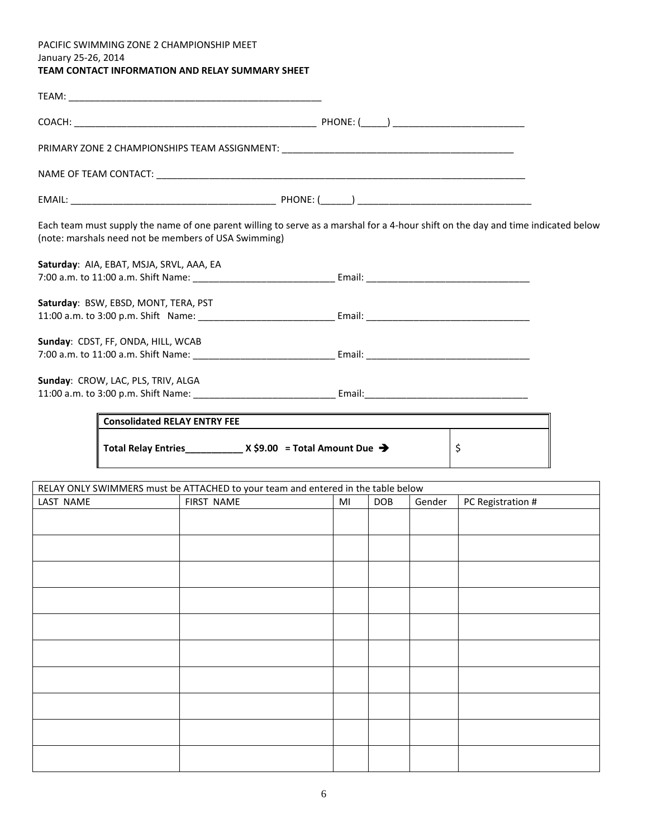# PACIFIC SWIMMING ZONE 2 CHAMPIONSHIP MEET January 25-26, 2014 **TEAM CONTACT INFORMATION AND RELAY SUMMARY SHEET**

| PRIMARY ZONE 2 CHAMPIONSHIPS TEAM ASSIGNMENT: ___________________________________ |                                                                                                                                   |
|-----------------------------------------------------------------------------------|-----------------------------------------------------------------------------------------------------------------------------------|
|                                                                                   |                                                                                                                                   |
|                                                                                   |                                                                                                                                   |
| (note: marshals need not be members of USA Swimming)                              | Each team must supply the name of one parent willing to serve as a marshal for a 4-hour shift on the day and time indicated below |
| Saturday: AIA, EBAT, MSJA, SRVL, AAA, EA                                          |                                                                                                                                   |
|                                                                                   |                                                                                                                                   |
| Saturday: BSW, EBSD, MONT, TERA, PST                                              |                                                                                                                                   |
|                                                                                   |                                                                                                                                   |
| Sunday: CDST, FF, ONDA, HILL, WCAB                                                |                                                                                                                                   |
|                                                                                   |                                                                                                                                   |
| Sunday: CROW, LAC, PLS, TRIV, ALGA                                                |                                                                                                                                   |
|                                                                                   |                                                                                                                                   |
| <b>Consolidated RELAY ENTRY FEE</b>                                               |                                                                                                                                   |
| Total Relay Entries_____________ X \$9.00 = Total Amount Due →                    | \$                                                                                                                                |

| RELAY ONLY SWIMMERS must be ATTACHED to your team and entered in the table below |                                                               |  |  |  |  |  |  |  |
|----------------------------------------------------------------------------------|---------------------------------------------------------------|--|--|--|--|--|--|--|
| LAST NAME                                                                        | FIRST NAME<br>Gender<br>PC Registration #<br><b>DOB</b><br>MI |  |  |  |  |  |  |  |
|                                                                                  |                                                               |  |  |  |  |  |  |  |
|                                                                                  |                                                               |  |  |  |  |  |  |  |
|                                                                                  |                                                               |  |  |  |  |  |  |  |
|                                                                                  |                                                               |  |  |  |  |  |  |  |
|                                                                                  |                                                               |  |  |  |  |  |  |  |
|                                                                                  |                                                               |  |  |  |  |  |  |  |
|                                                                                  |                                                               |  |  |  |  |  |  |  |
|                                                                                  |                                                               |  |  |  |  |  |  |  |
|                                                                                  |                                                               |  |  |  |  |  |  |  |
|                                                                                  |                                                               |  |  |  |  |  |  |  |
|                                                                                  |                                                               |  |  |  |  |  |  |  |
|                                                                                  |                                                               |  |  |  |  |  |  |  |
|                                                                                  |                                                               |  |  |  |  |  |  |  |
|                                                                                  |                                                               |  |  |  |  |  |  |  |
|                                                                                  |                                                               |  |  |  |  |  |  |  |
|                                                                                  |                                                               |  |  |  |  |  |  |  |
|                                                                                  |                                                               |  |  |  |  |  |  |  |
|                                                                                  |                                                               |  |  |  |  |  |  |  |
|                                                                                  |                                                               |  |  |  |  |  |  |  |
|                                                                                  |                                                               |  |  |  |  |  |  |  |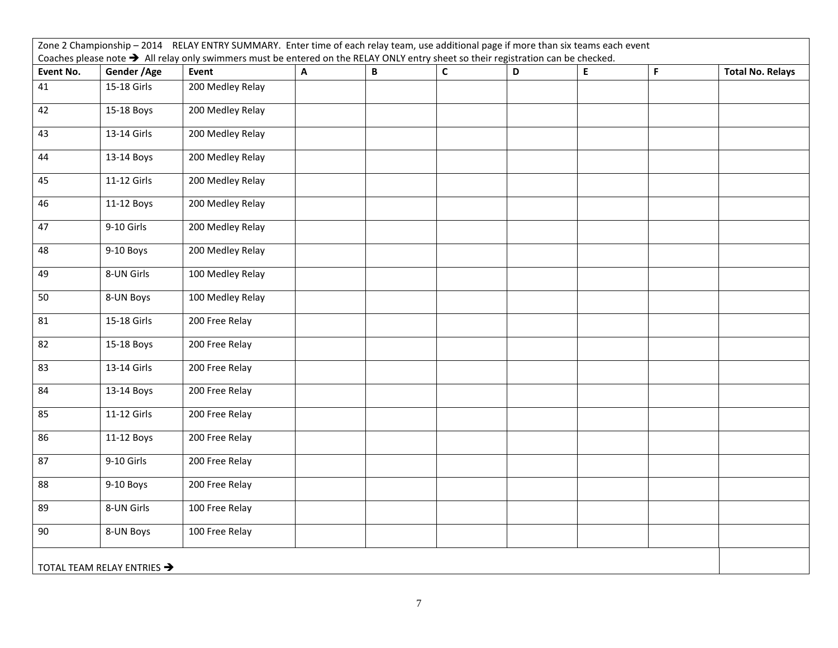| Zone 2 Championship - 2014 RELAY ENTRY SUMMARY. Enter time of each relay team, use additional page if more than six teams each event |                            |                                                                                                                                               |   |             |              |   |   |   |                         |
|--------------------------------------------------------------------------------------------------------------------------------------|----------------------------|-----------------------------------------------------------------------------------------------------------------------------------------------|---|-------------|--------------|---|---|---|-------------------------|
|                                                                                                                                      |                            | Coaches please note $\rightarrow$ All relay only swimmers must be entered on the RELAY ONLY entry sheet so their registration can be checked. |   |             |              |   |   |   |                         |
| Event No.                                                                                                                            | Gender / Age               | Event                                                                                                                                         | A | $\mathbf B$ | $\mathsf{C}$ | D | E | F | <b>Total No. Relays</b> |
| 41                                                                                                                                   | 15-18 Girls                | 200 Medley Relay                                                                                                                              |   |             |              |   |   |   |                         |
| 42                                                                                                                                   | 15-18 Boys                 | 200 Medley Relay                                                                                                                              |   |             |              |   |   |   |                         |
| 43                                                                                                                                   | 13-14 Girls                | 200 Medley Relay                                                                                                                              |   |             |              |   |   |   |                         |
| 44                                                                                                                                   | 13-14 Boys                 | 200 Medley Relay                                                                                                                              |   |             |              |   |   |   |                         |
| 45                                                                                                                                   | 11-12 Girls                | 200 Medley Relay                                                                                                                              |   |             |              |   |   |   |                         |
| 46                                                                                                                                   | 11-12 Boys                 | 200 Medley Relay                                                                                                                              |   |             |              |   |   |   |                         |
| 47                                                                                                                                   | 9-10 Girls                 | 200 Medley Relay                                                                                                                              |   |             |              |   |   |   |                         |
| 48                                                                                                                                   | 9-10 Boys                  | 200 Medley Relay                                                                                                                              |   |             |              |   |   |   |                         |
| 49                                                                                                                                   | 8-UN Girls                 | 100 Medley Relay                                                                                                                              |   |             |              |   |   |   |                         |
| 50                                                                                                                                   | 8-UN Boys                  | 100 Medley Relay                                                                                                                              |   |             |              |   |   |   |                         |
| 81                                                                                                                                   | 15-18 Girls                | 200 Free Relay                                                                                                                                |   |             |              |   |   |   |                         |
| 82                                                                                                                                   | 15-18 Boys                 | 200 Free Relay                                                                                                                                |   |             |              |   |   |   |                         |
| 83                                                                                                                                   | 13-14 Girls                | 200 Free Relay                                                                                                                                |   |             |              |   |   |   |                         |
| 84                                                                                                                                   | 13-14 Boys                 | 200 Free Relay                                                                                                                                |   |             |              |   |   |   |                         |
| 85                                                                                                                                   | 11-12 Girls                | 200 Free Relay                                                                                                                                |   |             |              |   |   |   |                         |
| 86                                                                                                                                   | 11-12 Boys                 | 200 Free Relay                                                                                                                                |   |             |              |   |   |   |                         |
| 87                                                                                                                                   | 9-10 Girls                 | 200 Free Relay                                                                                                                                |   |             |              |   |   |   |                         |
| 88                                                                                                                                   | 9-10 Boys                  | 200 Free Relay                                                                                                                                |   |             |              |   |   |   |                         |
| 89                                                                                                                                   | 8-UN Girls                 | 100 Free Relay                                                                                                                                |   |             |              |   |   |   |                         |
| 90                                                                                                                                   | 8-UN Boys                  | 100 Free Relay                                                                                                                                |   |             |              |   |   |   |                         |
|                                                                                                                                      | TOTAL TEAM RELAY ENTRIES → |                                                                                                                                               |   |             |              |   |   |   |                         |